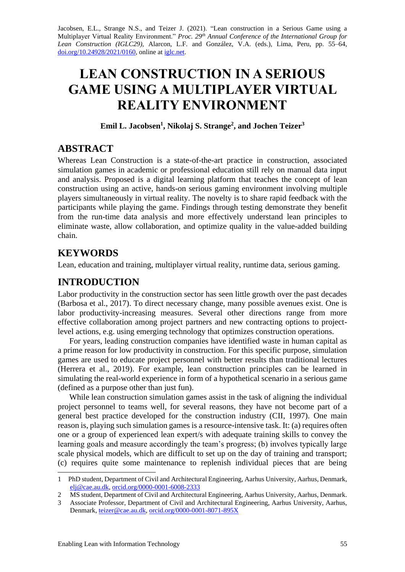Jacobsen, E.L., Strange N.S., and Teizer J. (2021). "Lean construction in a Serious Game using a Multiplayer Virtual Reality Environment." *Proc. 29 th Annual Conference of the International Group for Lean Construction (IGLC29),* Alarcon, L.F. and González, V.A. (eds.)*,* Lima, Peru, pp. 55–64, [doi.org/10.24928/2021/0160,](https://doi.org/10.24928/2021/0160) online a[t iglc.net.](http://iglc.net/)

# **LEAN CONSTRUCTION IN A SERIOUS GAME USING A MULTIPLAYER VIRTUAL REALITY ENVIRONMENT**

#### **Emil L. Jacobsen<sup>1</sup> , Nikolaj S. Strange<sup>2</sup> , and Jochen Teizer<sup>3</sup>**

# **ABSTRACT**

Whereas Lean Construction is a state-of-the-art practice in construction, associated simulation games in academic or professional education still rely on manual data input and analysis. Proposed is a digital learning platform that teaches the concept of lean construction using an active, hands-on serious gaming environment involving multiple players simultaneously in virtual reality. The novelty is to share rapid feedback with the participants while playing the game. Findings through testing demonstrate they benefit from the run-time data analysis and more effectively understand lean principles to eliminate waste, allow collaboration, and optimize quality in the value-added building chain.

# **KEYWORDS**

Lean, education and training, multiplayer virtual reality, runtime data, serious gaming.

# **INTRODUCTION**

Labor productivity in the construction sector has seen little growth over the past decades (Barbosa et al., 2017). To direct necessary change, many possible avenues exist. One is labor productivity-increasing measures. Several other directions range from more effective collaboration among project partners and new contracting options to projectlevel actions, e.g. using emerging technology that optimizes construction operations.

For years, leading construction companies have identified waste in human capital as a prime reason for low productivity in construction. For this specific purpose, simulation games are used to educate project personnel with better results than traditional lectures (Herrera et al., 2019). For example, lean construction principles can be learned in simulating the real-world experience in form of a hypothetical scenario in a serious game (defined as a purpose other than just fun).

While lean construction simulation games assist in the task of aligning the individual project personnel to teams well, for several reasons, they have not become part of a general best practice developed for the construction industry (CII, 1997). One main reason is, playing such simulation games is a resource-intensive task. It: (a) requires often one or a group of experienced lean expert/s with adequate training skills to convey the learning goals and measure accordingly the team's progress; (b) involves typically large scale physical models, which are difficult to set up on the day of training and transport; (c) requires quite some maintenance to replenish individual pieces that are being

<sup>1</sup> PhD student, Department of Civil and Architectural Engineering, Aarhus University, Aarhus, Denmark, [elj@cae.au.dk,](mailto:elj@cae.au.dk) [orcid.org/0000-0001-6008-2333](https://orcid.org/0000-0001-6008-2333)

<sup>2</sup> MS student, Department of Civil and Architectural Engineering, Aarhus University, Aarhus, Denmark.

<sup>3</sup> Associate Professor, Department of Civil and Architectural Engineering, Aarhus University, Aarhus, Denmark, [teizer@cae.au.dk,](mailto:teizer@cae.au.dk) [orcid.org/0000-0001-8071-895X](https://orcid.org/0000-0001-8071-895X)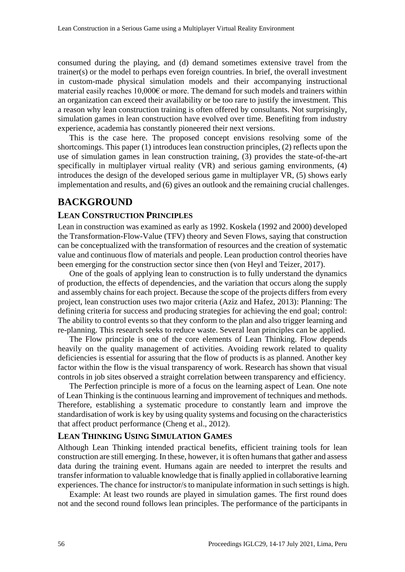consumed during the playing, and (d) demand sometimes extensive travel from the trainer(s) or the model to perhaps even foreign countries. In brief, the overall investment in custom-made physical simulation models and their accompanying instructional material easily reaches  $10,000 \in \sigma$  more. The demand for such models and trainers within an organization can exceed their availability or be too rare to justify the investment. This a reason why lean construction training is often offered by consultants. Not surprisingly, simulation games in lean construction have evolved over time. Benefiting from industry experience, academia has constantly pioneered their next versions.

This is the case here. The proposed concept envisions resolving some of the shortcomings. This paper (1) introduces lean construction principles, (2) reflects upon the use of simulation games in lean construction training, (3) provides the state-of-the-art specifically in multiplayer virtual reality (VR) and serious gaming environments, (4) introduces the design of the developed serious game in multiplayer VR, (5) shows early implementation and results, and (6) gives an outlook and the remaining crucial challenges.

# **BACKGROUND**

#### **LEAN CONSTRUCTION PRINCIPLES**

Lean in construction was examined as early as 1992. Koskela (1992 and 2000) developed the Transformation-Flow-Value (TFV) theory and Seven Flows, saying that construction can be conceptualized with the transformation of resources and the creation of systematic value and continuous flow of materials and people. Lean production control theories have been emerging for the construction sector since then (von Heyl and Teizer, 2017).

One of the goals of applying lean to construction is to fully understand the dynamics of production, the effects of dependencies, and the variation that occurs along the supply and assembly chains for each project. Because the scope of the projects differs from every project, lean construction uses two major criteria (Aziz and Hafez, 2013): Planning: The defining criteria for success and producing strategies for achieving the end goal; control: The ability to control events so that they conform to the plan and also trigger learning and re-planning. This research seeks to reduce waste. Several lean principles can be applied.

The Flow principle is one of the core elements of Lean Thinking. Flow depends heavily on the quality management of activities. Avoiding rework related to quality deficiencies is essential for assuring that the flow of products is as planned. Another key factor within the flow is the visual transparency of work. Research has shown that visual controls in job sites observed a straight correlation between transparency and efficiency.

The Perfection principle is more of a focus on the learning aspect of Lean. One note of Lean Thinking is the continuous learning and improvement of techniques and methods. Therefore, establishing a systematic procedure to constantly learn and improve the standardisation of work is key by using quality systems and focusing on the characteristics that affect product performance (Cheng et al., 2012).

#### **LEAN THINKING USING SIMULATION GAMES**

Although Lean Thinking intended practical benefits, efficient training tools for lean construction are still emerging. In these, however, it is often humans that gather and assess data during the training event. Humans again are needed to interpret the results and transfer information to valuable knowledge that is finally applied in collaborative learning experiences. The chance for instructor/s to manipulate information in such settings is high.

Example: At least two rounds are played in simulation games. The first round does not and the second round follows lean principles. The performance of the participants in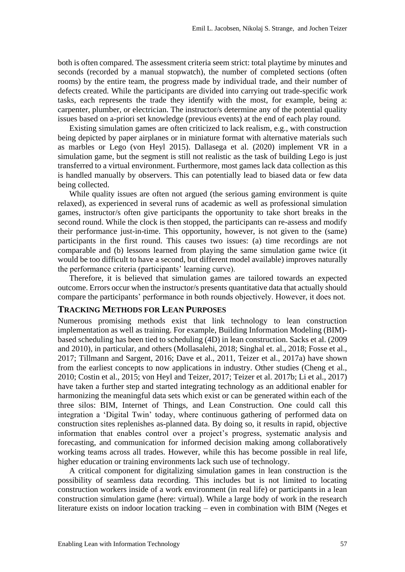both is often compared. The assessment criteria seem strict: total playtime by minutes and seconds (recorded by a manual stopwatch), the number of completed sections (often rooms) by the entire team, the progress made by individual trade, and their number of defects created. While the participants are divided into carrying out trade-specific work tasks, each represents the trade they identify with the most, for example, being a: carpenter, plumber, or electrician. The instructor/s determine any of the potential quality issues based on a-priori set knowledge (previous events) at the end of each play round.

Existing simulation games are often criticized to lack realism, e.g., with construction being depicted by paper airplanes or in miniature format with alternative materials such as marbles or Lego (von Heyl 2015). Dallasega et al. (2020) implement VR in a simulation game, but the segment is still not realistic as the task of building Lego is just transferred to a virtual environment. Furthermore, most games lack data collection as this is handled manually by observers. This can potentially lead to biased data or few data being collected.

While quality issues are often not argued (the serious gaming environment is quite relaxed), as experienced in several runs of academic as well as professional simulation games, instructor/s often give participants the opportunity to take short breaks in the second round. While the clock is then stopped, the participants can re-assess and modify their performance just-in-time. This opportunity, however, is not given to the (same) participants in the first round. This causes two issues: (a) time recordings are not comparable and (b) lessons learned from playing the same simulation game twice (it would be too difficult to have a second, but different model available) improves naturally the performance criteria (participants' learning curve).

Therefore, it is believed that simulation games are tailored towards an expected outcome. Errors occur when the instructor/s presents quantitative data that actually should compare the participants' performance in both rounds objectively. However, it does not.

#### **TRACKING METHODS FOR LEAN PURPOSES**

Numerous promising methods exist that link technology to lean construction implementation as well as training. For example, Building Information Modeling (BIM) based scheduling has been tied to scheduling (4D) in lean construction. Sacks et al. (2009 and 2010), in particular, and others (Mollasalehi, 2018; Singhal et. al., 2018; Fosse et al., 2017; Tillmann and Sargent, 2016; Dave et al., 2011, Teizer et al., 2017a) have shown from the earliest concepts to now applications in industry. Other studies (Cheng et al., 2010; Costin et al., 2015; von Heyl and Teizer, 2017; Teizer et al. 2017b; Li et al., 2017) have taken a further step and started integrating technology as an additional enabler for harmonizing the meaningful data sets which exist or can be generated within each of the three silos: BIM, Internet of Things, and Lean Construction. One could call this integration a 'Digital Twin' today, where continuous gathering of performed data on construction sites replenishes as-planned data. By doing so, it results in rapid, objective information that enables control over a project's progress, systematic analysis and forecasting, and communication for informed decision making among collaboratively working teams across all trades. However, while this has become possible in real life, higher education or training environments lack such use of technology.

A critical component for digitalizing simulation games in lean construction is the possibility of seamless data recording. This includes but is not limited to locating construction workers inside of a work environment (in real life) or participants in a lean construction simulation game (here: virtual). While a large body of work in the research literature exists on indoor location tracking – even in combination with BIM (Neges et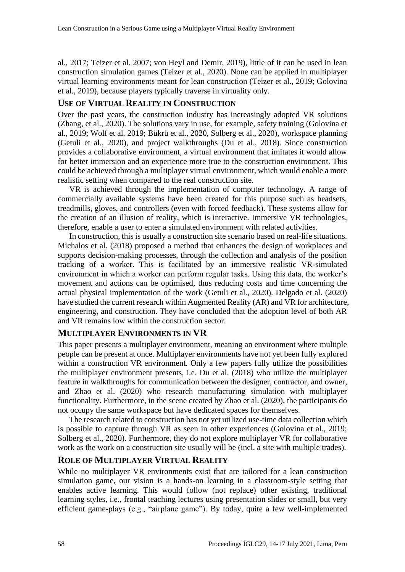al., 2017; Teizer et al. 2007; von Heyl and Demir, 2019), little of it can be used in lean construction simulation games (Teizer et al., 2020). None can be applied in multiplayer virtual learning environments meant for lean construction (Teizer et al., 2019; Golovina et al., 2019), because players typically traverse in virtuality only.

#### **USE OF VIRTUAL REALITY IN CONSTRUCTION**

Over the past years, the construction industry has increasingly adopted VR solutions (Zhang, et al., 2020). The solutions vary in use, for example, safety training (Golovina et al., 2019; Wolf et al. 2019; Bükrü et al., 2020, Solberg et al., 2020), workspace planning (Getuli et al., 2020), and project walkthroughs (Du et al., 2018). Since construction provides a collaborative environment, a virtual environment that imitates it would allow for better immersion and an experience more true to the construction environment. This could be achieved through a multiplayer virtual environment, which would enable a more realistic setting when compared to the real construction site.

VR is achieved through the implementation of computer technology. A range of commercially available systems have been created for this purpose such as headsets, treadmills, gloves, and controllers (even with forced feedback). These systems allow for the creation of an illusion of reality, which is interactive. Immersive VR technologies, therefore, enable a user to enter a simulated environment with related activities.

In construction, this is usually a construction site scenario based on real-life situations. Michalos et al. (2018) proposed a method that enhances the design of workplaces and supports decision-making processes, through the collection and analysis of the position tracking of a worker. This is facilitated by an immersive realistic VR-simulated environment in which a worker can perform regular tasks. Using this data, the worker's movement and actions can be optimised, thus reducing costs and time concerning the actual physical implementation of the work (Getuli et al., 2020). Delgado et al. (2020) have studied the current research within Augmented Reality (AR) and VR for architecture, engineering, and construction. They have concluded that the adoption level of both AR and VR remains low within the construction sector.

### **MULTIPLAYER ENVIRONMENTS IN VR**

This paper presents a multiplayer environment, meaning an environment where multiple people can be present at once. Multiplayer environments have not yet been fully explored within a construction VR environment. Only a few papers fully utilize the possibilities the multiplayer environment presents, i.e. Du et al. (2018) who utilize the multiplayer feature in walkthroughs for communication between the designer, contractor, and owner, and Zhao et al. (2020) who research manufacturing simulation with multiplayer functionality. Furthermore, in the scene created by Zhao et al. (2020), the participants do not occupy the same workspace but have dedicated spaces for themselves.

The research related to construction has not yet utilized use-time data collection which is possible to capture through VR as seen in other experiences (Golovina et al., 2019; Solberg et al., 2020). Furthermore, they do not explore multiplayer VR for collaborative work as the work on a construction site usually will be (incl. a site with multiple trades).

### **ROLE OF MULTIPLAYER VIRTUAL REALITY**

While no multiplayer VR environments exist that are tailored for a lean construction simulation game, our vision is a hands-on learning in a classroom-style setting that enables active learning. This would follow (not replace) other existing, traditional learning styles, i.e., frontal teaching lectures using presentation slides or small, but very efficient game-plays (e.g., "airplane game"). By today, quite a few well-implemented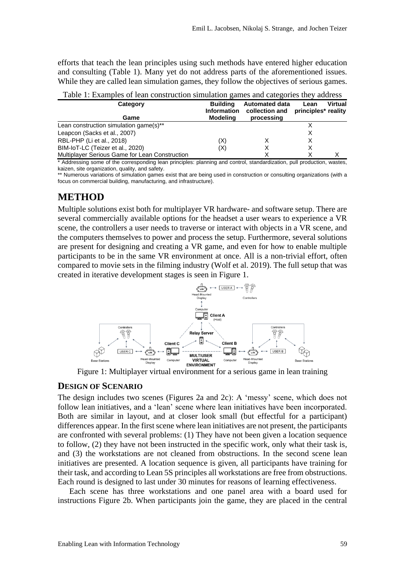efforts that teach the lean principles using such methods have entered higher education and consulting (Table 1). Many yet do not address parts of the aforementioned issues. While they are called lean simulation games, they follow the objectives of serious games.

| Table 1. Examples of Ican construction simulation games and categories they address |                    |                                    |      |         |  |  |  |
|-------------------------------------------------------------------------------------|--------------------|------------------------------------|------|---------|--|--|--|
| Category                                                                            | <b>Building</b>    | <b>Automated data</b>              | Lean | Virtual |  |  |  |
|                                                                                     | <b>Information</b> | collection and principles* reality |      |         |  |  |  |
| Game                                                                                | Modelina           | processing                         |      |         |  |  |  |
| Lean construction simulation game(s)**                                              |                    |                                    |      |         |  |  |  |
| Leapcon (Sacks et al., 2007)                                                        |                    |                                    |      |         |  |  |  |
| RBL-PHP (Li et al., 2018)                                                           | (X)                |                                    |      |         |  |  |  |
| BIM-IoT-LC (Teizer et al., 2020)                                                    | (X)                | х                                  |      |         |  |  |  |
| Multiplayer Serious Game for Lean Construction                                      |                    |                                    |      |         |  |  |  |

Table 1: Examples of lean construction simulation games and categories they address

\* Addressing some of the corresponding lean principles: planning and control, standardization, pull production, wastes, kaizen, site organization, quality, and safety.

\*\* Numerous variations of simulation games exist that are being used in construction or consulting organizations (with a focus on commercial building, manufacturing, and infrastructure).

## **METHOD**

Multiple solutions exist both for multiplayer VR hardware- and software setup. There are several commercially available options for the headset a user wears to experience a VR scene, the controllers a user needs to traverse or interact with objects in a VR scene, and the computers themselves to power and process the setup. Furthermore, several solutions are present for designing and creating a VR game, and even for how to enable multiple participants to be in the same VR environment at once. All is a non-trivial effort, often compared to movie sets in the filming industry (Wolf et al. 2019). The full setup that was created in iterative development stages is seen in Figure 1.



Figure 1: Multiplayer virtual environment for a serious game in lean training

#### **DESIGN OF SCENARIO**

The design includes two scenes (Figures 2a and 2c): A 'messy' scene, which does not follow lean initiatives, and a 'lean' scene where lean initiatives have been incorporated. Both are similar in layout, and at closer look small (but effectful for a participant) differences appear. In the first scene where lean initiatives are not present, the participants are confronted with several problems: (1) They have not been given a location sequence to follow, (2) they have not been instructed in the specific work, only what their task is, and (3) the workstations are not cleaned from obstructions. In the second scene lean initiatives are presented. A location sequence is given, all participants have training for their task, and according to Lean 5S principles all workstations are free from obstructions. Each round is designed to last under 30 minutes for reasons of learning effectiveness.

Each scene has three workstations and one panel area with a board used for instructions Figure 2b. When participants join the game, they are placed in the central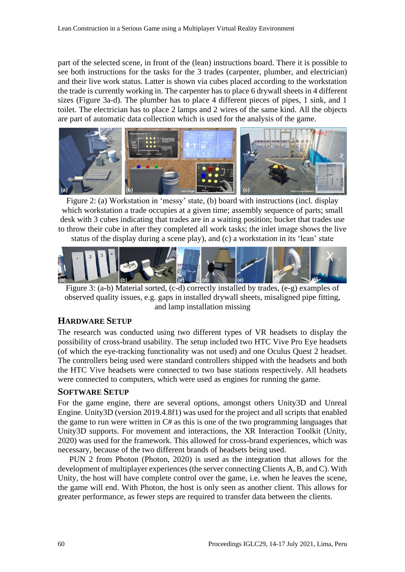part of the selected scene, in front of the (lean) instructions board. There it is possible to see both instructions for the tasks for the 3 trades (carpenter, plumber, and electrician) and their live work status. Latter is shown via cubes placed according to the workstation the trade is currently working in. The carpenter has to place 6 drywall sheets in 4 different sizes (Figure 3a-d). The plumber has to place 4 different pieces of pipes, 1 sink, and 1 toilet. The electrician has to place 2 lamps and 2 wires of the same kind. All the objects are part of automatic data collection which is used for the analysis of the game.



Figure 2: (a) Workstation in 'messy' state, (b) board with instructions (incl. display which workstation a trade occupies at a given time; assembly sequence of parts; small desk with 3 cubes indicating that trades are in a waiting position; bucket that trades use to throw their cube in after they completed all work tasks; the inlet image shows the live status of the display during a scene play), and (c) a workstation in its 'lean' state



Figure 3: (a-b) Material sorted, (c-d) correctly installed by trades, (e-g) examples of observed quality issues, e.g. gaps in installed drywall sheets, misaligned pipe fitting, and lamp installation missing

# **HARDWARE SETUP**

The research was conducted using two different types of VR headsets to display the possibility of cross-brand usability. The setup included two HTC Vive Pro Eye headsets (of which the eye-tracking functionality was not used) and one Oculus Quest 2 headset. The controllers being used were standard controllers shipped with the headsets and both the HTC Vive headsets were connected to two base stations respectively. All headsets were connected to computers, which were used as engines for running the game.

### **SOFTWARE SETUP**

For the game engine, there are several options, amongst others Unity3D and Unreal Engine. Unity3D (version 2019.4.8f1) was used for the project and all scripts that enabled the game to run were written in C# as this is one of the two programming languages that Unity3D supports. For movement and interactions, the XR Interaction Toolkit (Unity, 2020) was used for the framework. This allowed for cross-brand experiences, which was necessary, because of the two different brands of headsets being used.

PUN 2 from Photon (Photon, 2020) is used as the integration that allows for the development of multiplayer experiences (the server connecting Clients A, B, and C). With Unity, the host will have complete control over the game, i.e. when he leaves the scene, the game will end. With Photon, the host is only seen as another client. This allows for greater performance, as fewer steps are required to transfer data between the clients.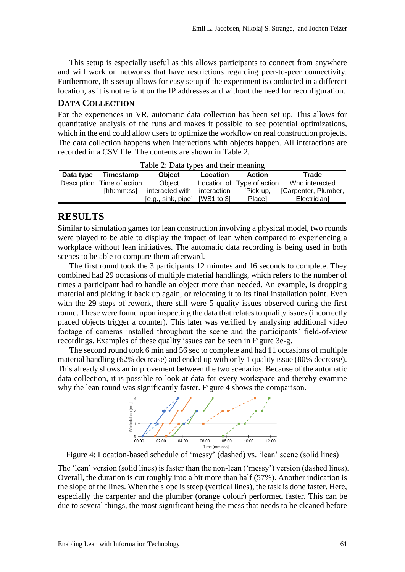This setup is especially useful as this allows participants to connect from anywhere and will work on networks that have restrictions regarding peer-to-peer connectivity. Furthermore, this setup allows for easy setup if the experiment is conducted in a different location, as it is not reliant on the IP addresses and without the need for reconfiguration.

#### **DATA COLLECTION**

For the experiences in VR, automatic data collection has been set up. This allows for quantitative analysis of the runs and makes it possible to see potential optimizations, which in the end could allow users to optimize the workflow on real construction projects. The data collection happens when interactions with objects happen. All interactions are recorded in a CSV file. The contents are shown in Table 2.

| rable 2. Data types and their meaning |                            |                                 |             |                            |                      |  |  |
|---------------------------------------|----------------------------|---------------------------------|-------------|----------------------------|----------------------|--|--|
| Data type                             | Timestamp                  | <b>Object</b>                   | Location    | <b>Action</b>              | Trade                |  |  |
|                                       | Description Time of action | Obiect                          |             | Location of Type of action | Who interacted       |  |  |
|                                       | [hh:mm:ss]                 | interacted with                 | interaction | [Pick-up,                  | [Carpenter, Plumber, |  |  |
|                                       |                            | $[e.g., sink, pipe]$ [WS1 to 3] |             | Place]                     | Electrician]         |  |  |

Table 2: Data types and their meaning

#### **RESULTS**

Similar to simulation games for lean construction involving a physical model, two rounds were played to be able to display the impact of lean when compared to experiencing a workplace without lean initiatives. The automatic data recording is being used in both scenes to be able to compare them afterward.

The first round took the 3 participants 12 minutes and 16 seconds to complete. They combined had 29 occasions of multiple material handlings, which refers to the number of times a participant had to handle an object more than needed. An example, is dropping material and picking it back up again, or relocating it to its final installation point. Even with the 29 steps of rework, there still were 5 quality issues observed during the first round. These were found upon inspecting the data that relates to quality issues (incorrectly placed objects trigger a counter). This later was verified by analysing additional video footage of cameras installed throughout the scene and the participants' field-of-view recordings. Examples of these quality issues can be seen in Figure 3e-g.

The second round took 6 min and 56 sec to complete and had 11 occasions of multiple material handling (62% decrease) and ended up with only 1 quality issue (80% decrease). This already shows an improvement between the two scenarios. Because of the automatic data collection, it is possible to look at data for every workspace and thereby examine why the lean round was significantly faster. Figure 4 shows the comparison.



Figure 4: Location-based schedule of 'messy' (dashed) vs. 'lean' scene (solid lines)

The 'lean' version (solid lines) is faster than the non-lean ('messy') version (dashed lines). Overall, the duration is cut roughly into a bit more than half (57%). Another indication is the slope of the lines. When the slope is steep (vertical lines), the task is done faster. Here, especially the carpenter and the plumber (orange colour) performed faster. This can be due to several things, the most significant being the mess that needs to be cleaned before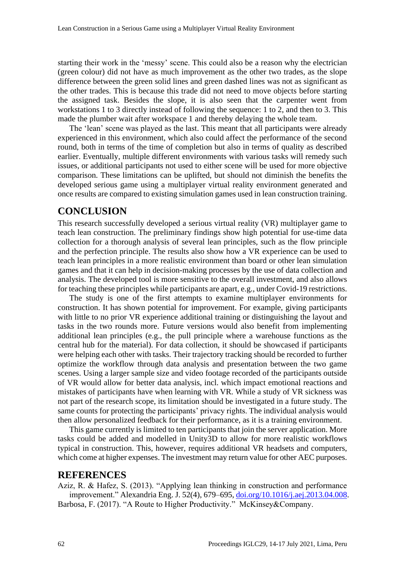starting their work in the 'messy' scene. This could also be a reason why the electrician (green colour) did not have as much improvement as the other two trades, as the slope difference between the green solid lines and green dashed lines was not as significant as the other trades. This is because this trade did not need to move objects before starting the assigned task. Besides the slope, it is also seen that the carpenter went from workstations 1 to 3 directly instead of following the sequence: 1 to 2, and then to 3. This made the plumber wait after workspace 1 and thereby delaying the whole team.

The 'lean' scene was played as the last. This meant that all participants were already experienced in this environment, which also could affect the performance of the second round, both in terms of the time of completion but also in terms of quality as described earlier. Eventually, multiple different environments with various tasks will remedy such issues, or additional participants not used to either scene will be used for more objective comparison. These limitations can be uplifted, but should not diminish the benefits the developed serious game using a multiplayer virtual reality environment generated and once results are compared to existing simulation games used in lean construction training.

## **CONCLUSION**

This research successfully developed a serious virtual reality (VR) multiplayer game to teach lean construction. The preliminary findings show high potential for use-time data collection for a thorough analysis of several lean principles, such as the flow principle and the perfection principle. The results also show how a VR experience can be used to teach lean principles in a more realistic environment than board or other lean simulation games and that it can help in decision-making processes by the use of data collection and analysis. The developed tool is more sensitive to the overall investment, and also allows for teaching these principles while participants are apart, e.g., under Covid-19 restrictions.

The study is one of the first attempts to examine multiplayer environments for construction. It has shown potential for improvement. For example, giving participants with little to no prior VR experience additional training or distinguishing the layout and tasks in the two rounds more. Future versions would also benefit from implementing additional lean principles (e.g., the pull principle where a warehouse functions as the central hub for the material). For data collection, it should be showcased if participants were helping each other with tasks. Their trajectory tracking should be recorded to further optimize the workflow through data analysis and presentation between the two game scenes. Using a larger sample size and video footage recorded of the participants outside of VR would allow for better data analysis, incl. which impact emotional reactions and mistakes of participants have when learning with VR. While a study of VR sickness was not part of the research scope, its limitation should be investigated in a future study. The same counts for protecting the participants' privacy rights. The individual analysis would then allow personalized feedback for their performance, as it is a training environment.

This game currently is limited to ten participants that join the server application. More tasks could be added and modelled in Unity3D to allow for more realistic workflows typical in construction. This, however, requires additional VR headsets and computers, which come at higher expenses. The investment may return value for other AEC purposes.

#### **REFERENCES**

Aziz, R. & Hafez, S. (2013). "Applying lean thinking in construction and performance improvement." Alexandria Eng. J. 52(4), 679–695, [doi.org/10.1016/j.aej.2013.04.008.](https://doi.org/10.1016/j.aej.2013.04.008) Barbosa, F. (2017). "A Route to Higher Productivity." McKinsey&Company.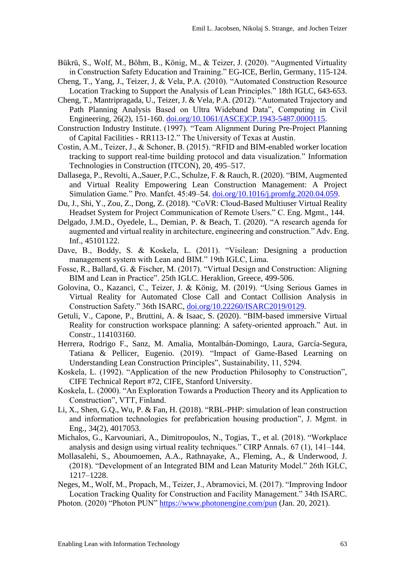- Bükrü, S., Wolf, M., Böhm, B., König, M., & Teizer, J. (2020). "Augmented Virtuality in Construction Safety Education and Training." EG-ICE, Berlin, Germany, 115-124.
- Cheng, T., Yang, J., Teizer, J, & Vela, P.A. (2010). "Automated Construction Resource Location Tracking to Support the Analysis of Lean Principles." 18th IGLC, 643-653.
- Cheng, T., Mantripragada, U., Teizer, J. & Vela, P.A. (2012). "Automated Trajectory and Path Planning Analysis Based on Ultra Wideband Data", Computing in Civil Engineering, 26(2), 151-160. [doi.org/10.1061/\(ASCE\)CP.1943-5487.0000115.](https://doi.org/10.1061/(ASCE)CP.1943-5487.0000115)
- Construction Industry Institute. (1997). "Team Alignment During Pre-Project Planning of Capital Facilities - RR113-12." The University of Texas at Austin.
- Costin, A.M., Teizer, J., & Schoner, B. (2015). "RFID and BIM-enabled worker location tracking to support real-time building protocol and data visualization." Information Technologies in Construction (ITCON), 20, 495–517.
- Dallasega, P., Revolti, A.,Sauer, P.C., Schulze, F. & Rauch, R. (2020). "BIM, Augmented and Virtual Reality Empowering Lean Construction Management: A Project Simulation Game." Pro. Manfct. 45:49–54. [doi.org/10.1016/j.promfg.2020.04.059.](https://doi.org/10.1016/j.promfg.2020.04.059)
- Du, J., Shi, Y., Zou, Z., Dong, Z. (2018). "CoVR: Cloud-Based Multiuser Virtual Reality Headset System for Project Communication of Remote Users." C. Eng. Mgmt., 144.
- Delgado, J.M.D., Oyedele, L., Demian, P. & Beach, T. (2020). "A research agenda for augmented and virtual reality in architecture, engineering and construction." Adv. Eng. Inf., 45101122.
- Dave, B., Boddy, S. & Koskela, L. (2011). "Visilean: Designing a production management system with Lean and BIM." 19th IGLC, Lima.
- Fosse, R., Ballard, G. & Fischer, M. (2017). "Virtual Design and Construction: Aligning BIM and Lean in Practice". 25th IGLC. Heraklion, Greece, 499-506.
- Golovina, O., Kazanci, C., Teizer, J. & König, M. (2019). "Using Serious Games in Virtual Reality for Automated Close Call and Contact Collision Analysis in Construction Safety." 36th ISARC, [doi.org/10.22260/ISARC2019/0129.](https://doi.org/10.22260/ISARC2019/0129)
- Getuli, V., Capone, P., Bruttini, A. & Isaac, S. (2020). "BIM-based immersive Virtual Reality for construction workspace planning: A safety-oriented approach." Aut. in Constr., 114103160.
- Herrera, Rodrigo F., Sanz, M. Amalia, Montalbán-Domingo, Laura, García-Segura, Tatiana & Pellicer, Eugenio. (2019). "Impact of Game-Based Learning on Understanding Lean Construction Principles", Sustainability, 11, 5294.
- Koskela, L. (1992). "Application of the new Production Philosophy to Construction", CIFE Technical Report #72, CIFE, Stanford University.
- Koskela, L. (2000). "An Exploration Towards a Production Theory and its Application to Construction", VTT, Finland.
- Li, X., Shen, G.Q., Wu, P. & Fan, H. (2018). "RBL-PHP: simulation of lean construction and information technologies for prefabrication housing production", J. Mgmt. in Eng., 34(2), 4017053.
- Michalos, G., Karvouniari, A., Dimitropoulos, N., Togias, T., et al. (2018). "Workplace analysis and design using virtual reality techniques." CIRP Annals. 67 (1), 141–144.
- Mollasalehi, S., Aboumoemen, A.A., Rathnayake, A., Fleming, A., & Underwood, J. (2018). "Development of an Integrated BIM and Lean Maturity Model." 26th IGLC, 1217–1228.
- Neges, M., Wolf, M., Propach, M., Teizer, J., Abramovici, M. (2017). "Improving Indoor Location Tracking Quality for Construction and Facility Management." 34th ISARC.
- Photon. (2020) "Photon PUN"<https://www.photonengine.com/pun> (Jan. 20, 2021).